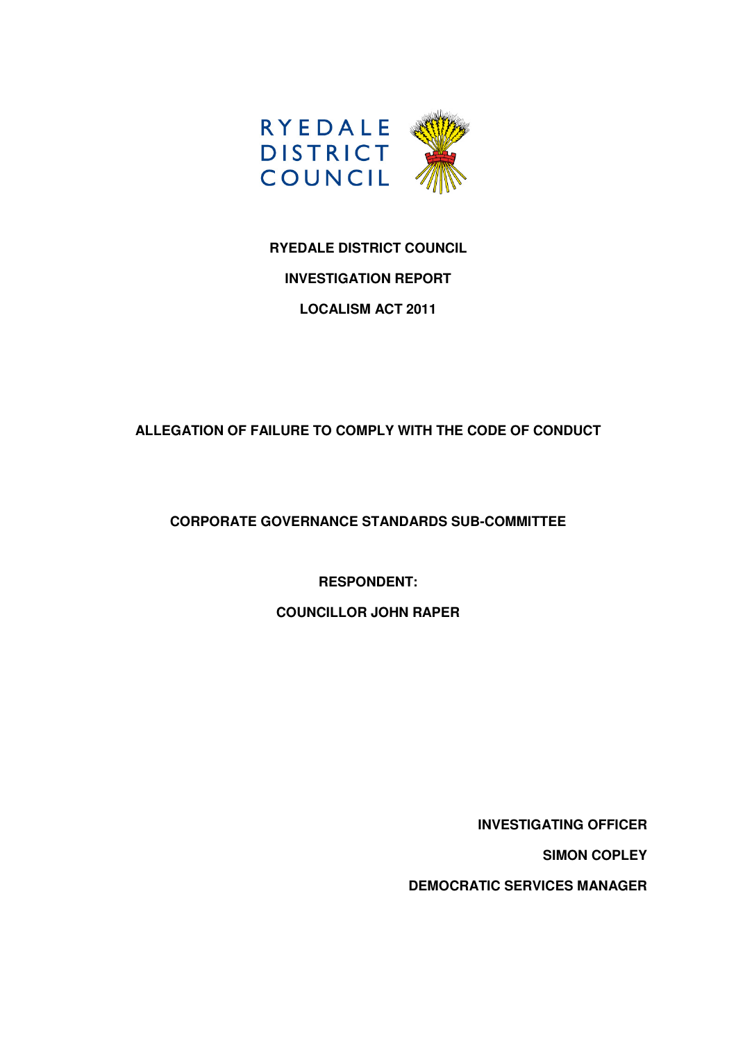

# **RYEDALE DISTRICT COUNCIL INVESTIGATION REPORT LOCALISM ACT 2011**

## **ALLEGATION OF FAILURE TO COMPLY WITH THE CODE OF CONDUCT**

## **CORPORATE GOVERNANCE STANDARDS SUB-COMMITTEE**

### **RESPONDENT:**

#### **COUNCILLOR JOHN RAPER**

**INVESTIGATING OFFICER** 

**SIMON COPLEY** 

**DEMOCRATIC SERVICES MANAGER**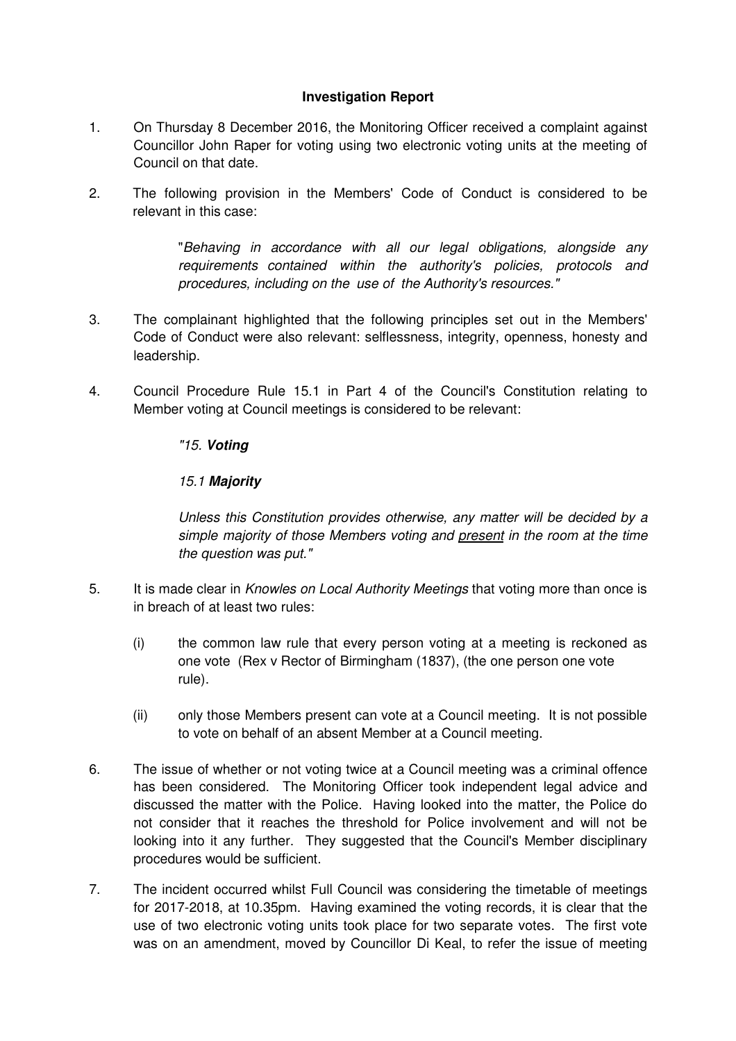#### **Investigation Report**

- 1. On Thursday 8 December 2016, the Monitoring Officer received a complaint against Councillor John Raper for voting using two electronic voting units at the meeting of Council on that date.
- 2. The following provision in the Members' Code of Conduct is considered to be relevant in this case:

 "Behaving in accordance with all our legal obligations, alongside any requirements contained within the authority's policies, protocols and procedures, including on the use of the Authority's resources."

- 3. The complainant highlighted that the following principles set out in the Members' Code of Conduct were also relevant: selflessness, integrity, openness, honesty and leadership.
- 4. Council Procedure Rule 15.1 in Part 4 of the Council's Constitution relating to Member voting at Council meetings is considered to be relevant:

#### "15. **Voting**

#### 15.1 **Majority**

 Unless this Constitution provides otherwise, any matter will be decided by a simple majority of those Members voting and present in the room at the time the question was put."

- 5. It is made clear in Knowles on Local Authority Meetings that voting more than once is in breach of at least two rules:
	- (i) the common law rule that every person voting at a meeting is reckoned as one vote (Rex v Rector of Birmingham (1837), (the one person one vote rule).
	- (ii) only those Members present can vote at a Council meeting. It is not possible to vote on behalf of an absent Member at a Council meeting.
- 6. The issue of whether or not voting twice at a Council meeting was a criminal offence has been considered. The Monitoring Officer took independent legal advice and discussed the matter with the Police. Having looked into the matter, the Police do not consider that it reaches the threshold for Police involvement and will not be looking into it any further. They suggested that the Council's Member disciplinary procedures would be sufficient.
- 7. The incident occurred whilst Full Council was considering the timetable of meetings for 2017-2018, at 10.35pm. Having examined the voting records, it is clear that the use of two electronic voting units took place for two separate votes. The first vote was on an amendment, moved by Councillor Di Keal, to refer the issue of meeting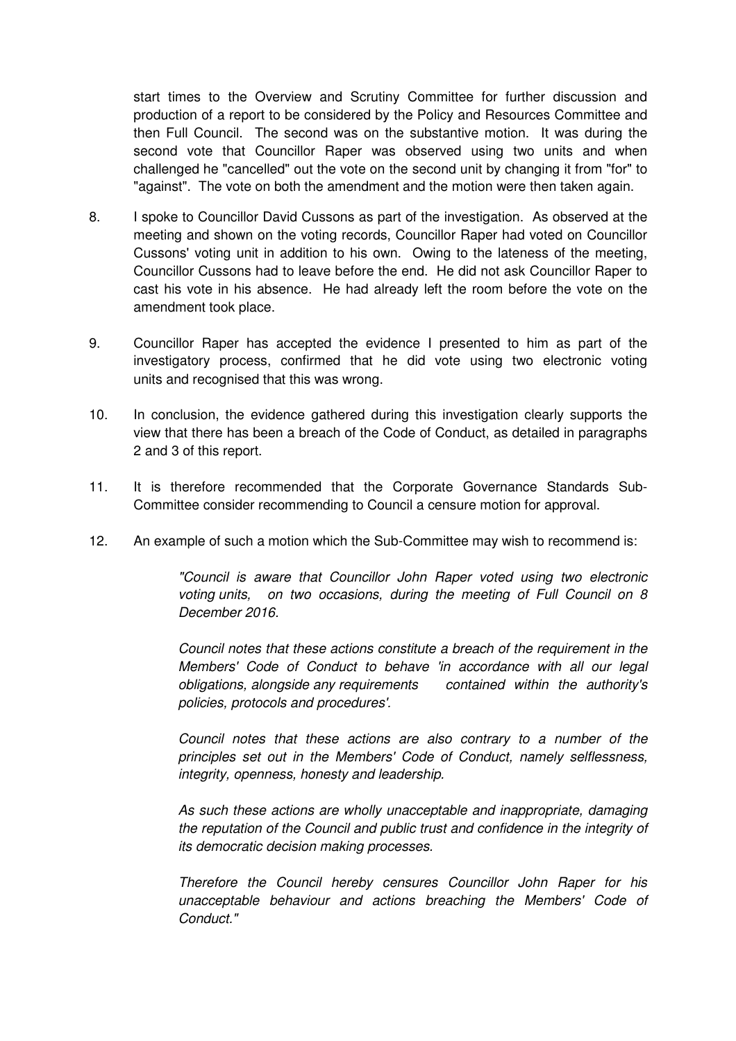start times to the Overview and Scrutiny Committee for further discussion and production of a report to be considered by the Policy and Resources Committee and then Full Council. The second was on the substantive motion. It was during the second vote that Councillor Raper was observed using two units and when challenged he "cancelled" out the vote on the second unit by changing it from "for" to "against". The vote on both the amendment and the motion were then taken again.

- 8. I spoke to Councillor David Cussons as part of the investigation. As observed at the meeting and shown on the voting records, Councillor Raper had voted on Councillor Cussons' voting unit in addition to his own. Owing to the lateness of the meeting, Councillor Cussons had to leave before the end. He did not ask Councillor Raper to cast his vote in his absence. He had already left the room before the vote on the amendment took place.
- 9. Councillor Raper has accepted the evidence I presented to him as part of the investigatory process, confirmed that he did vote using two electronic voting units and recognised that this was wrong.
- 10. In conclusion, the evidence gathered during this investigation clearly supports the view that there has been a breach of the Code of Conduct, as detailed in paragraphs 2 and 3 of this report.
- 11. It is therefore recommended that the Corporate Governance Standards Sub- Committee consider recommending to Council a censure motion for approval.
- 12. An example of such a motion which the Sub-Committee may wish to recommend is:

"Council is aware that Councillor John Raper voted using two electronic voting units, on two occasions, during the meeting of Full Council on 8 December 2016.

Council notes that these actions constitute a breach of the requirement in the Members' Code of Conduct to behave 'in accordance with all our legal obligations, alongside any requirements contained within the authority's policies, protocols and procedures'.

Council notes that these actions are also contrary to a number of the principles set out in the Members' Code of Conduct, namely selflessness, integrity, openness, honesty and leadership.

As such these actions are wholly unacceptable and inappropriate, damaging the reputation of the Council and public trust and confidence in the integrity of its democratic decision making processes.

Therefore the Council hereby censures Councillor John Raper for his unacceptable behaviour and actions breaching the Members' Code of Conduct."